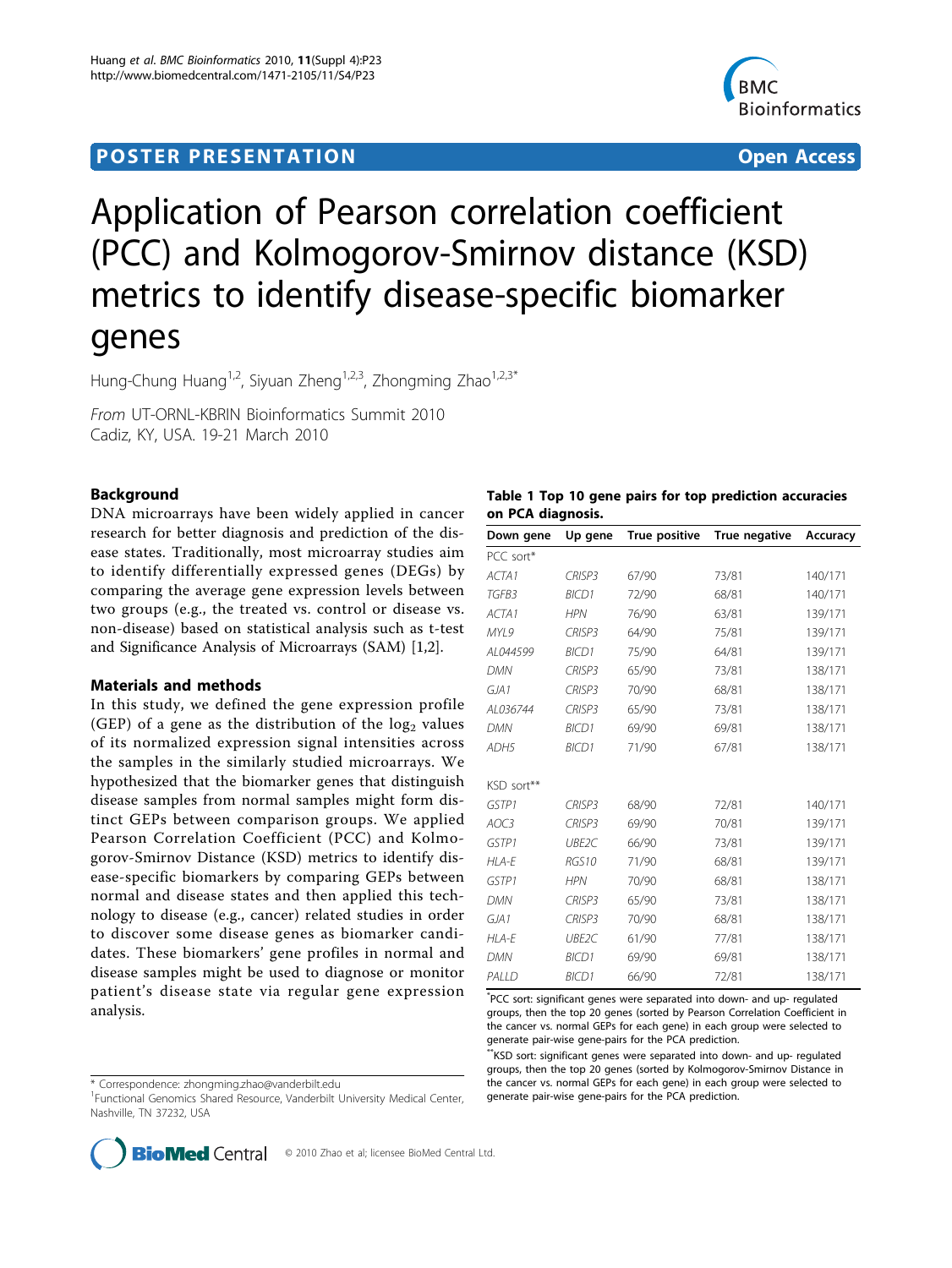## <span id="page-0-0"></span>**POSTER PRESENTATION CONSUMING THE SECOND CONSUMING THE SECOND CONSUMING THE SECOND CONSUMING THE SECOND CONSUMING THE SECOND CONSUMING THE SECOND CONSUMING THE SECOND CONSUMING THE SECOND CONSUMING THE SECOND CONSUMING**



# Application of Pearson correlation coefficient (PCC) and Kolmogorov-Smirnov distance (KSD) metrics to identify disease-specific biomarker genes

Hung-Chung Huang<sup>1,2</sup>, Siyuan Zheng<sup>1,2,3</sup>, Zhongming Zhao<sup>1,2,3\*</sup>

From UT-ORNL-KBRIN Bioinformatics Summit 2010 Cadiz, KY, USA. 19-21 March 2010

## Background

DNA microarrays have been widely applied in cancer research for better diagnosis and prediction of the disease states. Traditionally, most microarray studies aim to identify differentially expressed genes (DEGs) by comparing the average gene expression levels between two groups (e.g., the treated vs. control or disease vs. non-disease) based on statistical analysis such as t-test and Significance Analysis of Microarrays (SAM) [\[1,2](#page-1-0)].

## Materials and methods

In this study, we defined the gene expression profile (GEP) of a gene as the distribution of the  $log<sub>2</sub>$  values of its normalized expression signal intensities across the samples in the similarly studied microarrays. We hypothesized that the biomarker genes that distinguish disease samples from normal samples might form distinct GEPs between comparison groups. We applied Pearson Correlation Coefficient (PCC) and Kolmogorov-Smirnov Distance (KSD) metrics to identify disease-specific biomarkers by comparing GEPs between normal and disease states and then applied this technology to disease (e.g., cancer) related studies in order to discover some disease genes as biomarker candidates. These biomarkers' gene profiles in normal and disease samples might be used to diagnose or monitor patient's disease state via regular gene expression analysis.

\* Correspondence: [zhongming.zhao@vanderbilt.edu](mailto:zhongming.zhao@vanderbilt.edu)

<sup>1</sup> Functional Genomics Shared Resource, Vanderbilt University Medical Center, Nashville, TN 37232, USA

|                   |  |  | Table 1 Top 10 gene pairs for top prediction accuracies |  |
|-------------------|--|--|---------------------------------------------------------|--|
| on PCA diagnosis. |  |  |                                                         |  |

| Down gene  | Up gene            | True positive | True negative | Accuracy |
|------------|--------------------|---------------|---------------|----------|
| PCC sort*  |                    |               |               |          |
| ACTA1      | <b>CRISP3</b>      | 67/90         | 73/81         | 140/171  |
| TGFB3      | <b>BICD1</b>       | 72/90         | 68/81         | 140/171  |
| ACTA1      | <b>HPN</b>         | 76/90         | 63/81         | 139/171  |
| MYI 9      | <b>CRISP3</b>      | 64/90         | 75/81         | 139/171  |
| AL044599   | <b>BICD1</b>       | 75/90         | 64/81         | 139/171  |
| <b>DMN</b> | CRISP <sub>3</sub> | 65/90         | 73/81         | 138/171  |
| GJA1       | CRISP3             | 70/90         | 68/81         | 138/171  |
| AL036744   | CRISP <sub>3</sub> | 65/90         | 73/81         | 138/171  |
| <b>DMN</b> | <b>BICD1</b>       | 69/90         | 69/81         | 138/171  |
| ADH5       | <b>BICD1</b>       | 71/90         | 67/81         | 138/171  |
|            |                    |               |               |          |
| KSD sort** |                    |               |               |          |
| GSTP1      | <b>CRISP3</b>      | 68/90         | 72/81         | 140/171  |
| AOC3       | <b>CRISP3</b>      | 69/90         | 70/81         | 139/171  |
| GSTP1      | UBE2C              | 66/90         | 73/81         | 139/171  |
| HI A-F     | <b>RGS10</b>       | 71/90         | 68/81         | 139/171  |
| GSTP1      | <b>HPN</b>         | 70/90         | 68/81         | 138/171  |
| <b>DMN</b> | CRISP <sub>3</sub> | 65/90         | 73/81         | 138/171  |
| GJA1       | CRISP <sub>3</sub> | 70/90         | 68/81         | 138/171  |
| HLA-E      | UBE2C              | 61/90         | 77/81         | 138/171  |
| <b>DMN</b> | <b>BICD1</b>       | 69/90         | 69/81         | 138/171  |
| PALLD      | <b>BICD1</b>       | 66/90         | 72/81         | 138/171  |

\* PCC sort: significant genes were separated into down- and up- regulated groups, then the top 20 genes (sorted by Pearson Correlation Coefficient in the cancer vs. normal GEPs for each gene) in each group were selected to generate pair-wise gene-pairs for the PCA prediction.

\*\*KSD sort: significant genes were separated into down- and up- regulated groups, then the top 20 genes (sorted by Kolmogorov-Smirnov Distance in the cancer vs. normal GEPs for each gene) in each group were selected to generate pair-wise gene-pairs for the PCA prediction.